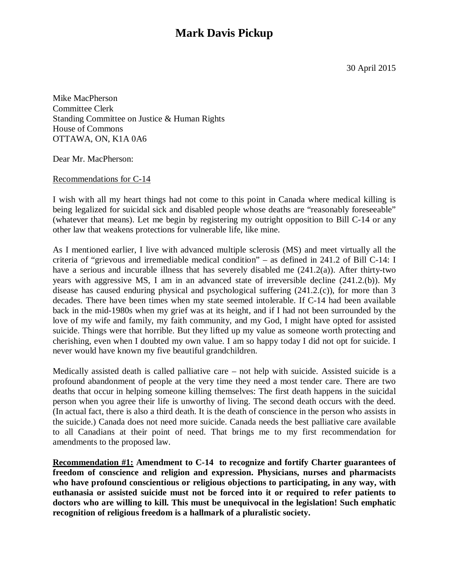## **Mark Davis Pickup**

Mike MacPherson Committee Clerk Standing Committee on Justice & Human Rights House of Commons OTTAWA, ON, K1A 0A6

Dear Mr. MacPherson:

Recommendations for C-14

I wish with all my heart things had not come to this point in Canada where medical killing is being legalized for suicidal sick and disabled people whose deaths are "reasonably foreseeable" (whatever that means). Let me begin by registering my outright opposition to Bill C-14 or any other law that weakens protections for vulnerable life, like mine.

As I mentioned earlier, I live with advanced multiple sclerosis (MS) and meet virtually all the criteria of "grievous and irremediable medical condition" – as defined in 241.2 of Bill C-14: I have a serious and incurable illness that has severely disabled me (241.2(a)). After thirty-two years with aggressive MS, I am in an advanced state of irreversible decline (241.2.(b)). My disease has caused enduring physical and psychological suffering (241.2.(c)), for more than 3 decades. There have been times when my state seemed intolerable. If C-14 had been available back in the mid-1980s when my grief was at its height, and if I had not been surrounded by the love of my wife and family, my faith community, and my God, I might have opted for assisted suicide. Things were that horrible. But they lifted up my value as someone worth protecting and cherishing, even when I doubted my own value. I am so happy today I did not opt for suicide. I never would have known my five beautiful grandchildren.

Medically assisted death is called palliative care – not help with suicide. Assisted suicide is a profound abandonment of people at the very time they need a most tender care. There are two deaths that occur in helping someone killing themselves: The first death happens in the suicidal person when you agree their life is unworthy of living. The second death occurs with the deed. (In actual fact, there is also a third death. It is the death of conscience in the person who assists in the suicide.) Canada does not need more suicide. Canada needs the best palliative care available to all Canadians at their point of need. That brings me to my first recommendation for amendments to the proposed law.

**Recommendation #1: Amendment to C-14 to recognize and fortify Charter guarantees of freedom of conscience and religion and expression. Physicians, nurses and pharmacists who have profound conscientious or religious objections to participating, in any way, with euthanasia or assisted suicide must not be forced into it or required to refer patients to doctors who are willing to kill. This must be unequivocal in the legislation! Such emphatic recognition of religious freedom is a hallmark of a pluralistic society.**